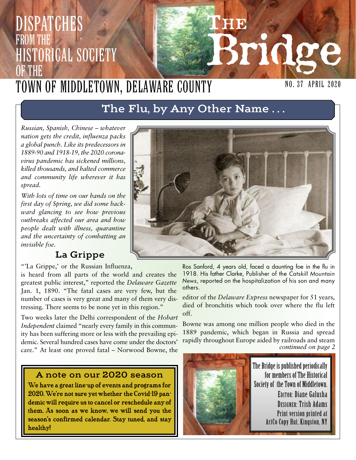# **THE Bridge DISPATCHES** from the Historical Society OF THE Town of Middletown, Delaware County

### NO. 37 April 2020

# **The Flu, by Any Other Name . . .**

*Russian, Spanish, Chinese – whatever nation gets the credit, influenza packs a global punch. Like its predecessors in 1889-90 and 1918-19, the 2020 coronavirus pandemic has sickened millions, killed thousands, and halted commerce and community life wherever it has spread.*

*With lots of time on our hands on the first day of Spring, we did some backward glancing to see how previous outbreaks affected our area and how people dealt with illness, quarantine and the uncertainty of combatting an invisible foe.*

### **La Grippe**

**"'La Grippe,' or the Russian Influenza,**

**is heard from all parts of the world and creates the greatest public interest," reported the** *Delaware Gazette* **Jan. 1, 1890. "The fatal cases are very few, but the number of cases is very great and many of them very distressing. There seems to be none yet in this region."**

**Two weeks later the Delhi correspondent of the** *Hobart Independent* **claimed "nearly every family in this community has been suffering more or less with the prevailing epidemic. Several hundred cases have come under the doctors' care." At least one proved fatal – Norwood Bowne, the**

#### **A note on our 2020 season**

We have a great line-up of events and programs for 2020.We're not sure yet whether the Covid-19 pandemic will require us to cancel or reschedule anyof them. As soon as we know, we will send you the season's confirmed calendar. Stay tuned, and stay healthy!



Ros Sanford, 4 years old, faced a daunting foe in the flu in 1918. His father Clarke, Publisher of the *Catskill Mountain News*, reported on the hospitalization of his son and many others.

**editor of the** *Delaware Express* **newspaper for 51 years, died of bronchitis which took over where the flu left off.**

**Bowne was among one million people who died in the 1889 pandemic, which began in Russia and spread rapidly throughout Europe aided by railroads and steam** *continued on page 2*

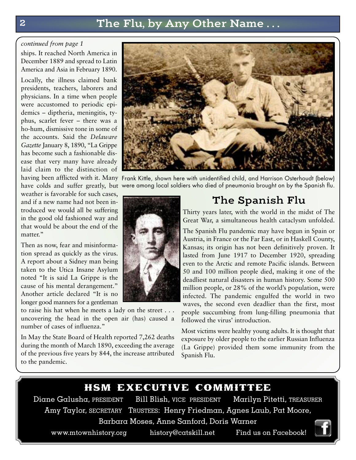# **2 The Flu, by Any Other Name . . .**

#### *continued from page 1*

**ships. It reached North America in December 1889 and spread to Latin America and Asia in February 1890.**

**Locally, the illness claimed bank presidents, teachers, laborers and physicians. In a time when people were accustomed to periodic epidemics – diptheria, meningitis, typhus, scarlet fever – there was a ho-hum, dismissive tone in some of the accounts. Said the** *Delaware Gazette* **January 8, 1890, "La Grippe has become such a fashionable disease that very many have already laid claim to the distinction of**

**weather is favorable for such cases, and if a new name had not been introduced we would all be suffering in the good old fashioned way and that would be about the end of the matter."**

**Then as now, fear and misinformation spread as quickly as the virus. A report about a Sidney man being taken to the Utica Insane Asylum noted "It is said La Grippe is the cause of his mental derangement." Another article declared "It is no longer good manners for a gentleman**

**to raise his hat when he meets a lady on the street . . . uncovering the head in the open air (has) caused a number of cases of influenza."**

**In May the State Board of Health reported 7,262 deaths during the month of March 1890, exceeding the average of the previous five years by 844, the increase attributed to the pandemic.**



**having been afflicted with it. Many** Frank Kittle, shown here with unidentified child, and Harrison Osterhoudt (below) **have colds and suffer greatly, but** were among local soldiers who died of pneumonia brought on by the Spanish flu.



## **The Spanish Flu**

**Thirty years later, with the world in the midst of The Great War, a simultaneous health cataclysm unfolded.**

**The Spanish Flu pandemic may have begun in Spain or Austria, in France or the Far East, or in Haskell County, Kansas; its origin has not been definitively proven. It lasted from June 1917 to December 1920, spreading even to the Arctic and remote Pacific islands. Between 50 and 100 million people died, making it one of the deadliest natural disasters in human history. Some 500 million people, or 28% of the world's population, were infected. The pandemic engulfed the world in two waves, the second even deadlier than the first, most people succumbing from lung-filling pneumonia that followed the virus' introduction.**

**Most victims were healthy young adults. It is thought that exposure by older people to the earlier Russian Influenza (La Grippe) provided them some immunity from the Spanish Flu.**

#### hsm executive committee

Diane Galusha, PRESIDENT Bill Blish, VICE PRESIDENT Marilyn Pitetti, TREASURER Amy Taylor, SECRETARY TRUSTEES: Henry Friedman, Agnes Laub, Pat Moore, Barbara Moses, Anne Sanford, Doris Warner

www.mtownhistory.org history@catskill.net Find us on Facebook!

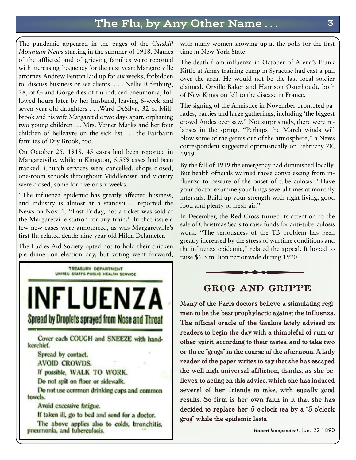# **The Flu, by Any Other Name . . . 3**

**The pandemic appeared in the pages of the** *Catskill Mountain News* **starting in the summer of 1918. Names of the afflicted and of grieving families were reported with increasing frequency for the next year: Margaretville attorney Andrew Fenton laid up for six weeks, forbidden to 'discuss business or see clients' . . . Nellie Rifenburg, 28, of Grand Gorge dies of flu-induced pneumonia, followed hours later by her husband, leaving 6-week and seven-year-old daughters . . .Ward DeSilva, 32 of Millbrook and his wife Margaret die two days apart, orphaning two young children . . . Mrs. Verner Marks and her four children of Belleayre on the sick list . . . the Fairbairn families of Dry Brook, too.**

**On October 25, 1918, 45 cases had been reported in Margaretville, while in Kingston, 6,559 cases had been tracked. Church services were cancelled, shops closed, one-room schools throughout Middletown and vicinity were closed, some for five or six weeks.**

**"The influenza epidemic has greatly affected business, and industry is almost at a standstill," reported the News on Nov. 1. "Last Friday, not a ticket was sold at the Margaretville station for any train." In that issue a few new cases were announced, as was Margaretville's first flu-related death: nine-year-old Hilda Delameter.**

**The Ladies Aid Society opted not to hold their chicken pie dinner on election day, but voting went forward,**



**with many women showing up at the polls for the first time in New York State.**

**The death from influenza in October of Arena's Frank Kittle at Army training camp in Syracuse had cast a pall over the area. He would not be the last local soldier claimed. Orville Baker and Harrison Osterhoudt, both of New Kingston fell to the disease in France.**

**The signing of the Armistice in November prompted parades, parties and large gatherings, including 'the biggest crowd Andes ever saw." Not surprisingly, there were relapses in the spring. "Perhaps the March winds will blow some of the germs out of the atmosphere," a News correspondent suggested optimistically on February 28, 1919.**

**By the fall of 1919 the emergency had diminished locally. But health officials warned those convalescing from influenza to beware of the onset of tuberculosis. "Have your doctor examine your lungs several times at monthly intervals. Build up your strength with right living, good food and plenty of fresh air."**

**In December, the Red Cross turned its attention to the sale of Christmas Seals to raise funds for anti-tuberculosis work. "The seriousness of the TB problem has been greatly increased by the stress of wartime conditions and the influenza epidemic," related the appeal. It hoped to raise \$6.5 million nationwide during 1920.** plenty of fresh air."<br>
mber, the Red Cross turned its attent<br>
hristmas Seals to raise funds for anti-tu<br>
The seriousness of the TB problem<br>
ncreased by the stress of wartime concenza epidemic," related the appeal. It<br>
5 mi



### **GROG AND GRIPPE**

Many of the Paris doctors believe a stimulating regimen to be the best prophylactic against the influenza. The official oracle of the Gaulois lately advised its readers to begin the day with a thimbleful of rum or other spirit, according to their tastes, and to take two or three "grogs" in the course of the afternoon. A lady reader of the paper writes to say that she has escaped the well-nigh universal affliction, thanks, as she believes, to acting on this advice, which she has induced several of her friends to take, with equally good results. So firm is her own faith in it that she has decided to replace her 5 o'clock tea by a "5 o'clock grog" while the epidemic lasts.

— *Hobart Independent*, Jan. 22 1890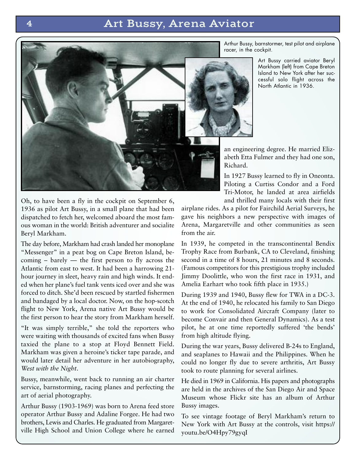### **4 Art Bussy, Arena Aviator**



Arthur Bussy, barnstormer, test pilot and airplane racer, in the cockpit.

> Art Bussy carried aviator Beryl Markham (left) from Cape Breton Island to New York after her successful solo flight across the North Atlantic in 1936.

**an engineering degree. He married Elizabeth Etta Fulmer and they had one son, Richard.**

**In 1927 Bussy learned to fly in Oneonta. Piloting a Curtiss Condor and a Ford Tri-Motor, he landed at area airfields and thrilled many locals with their first**

**airplane rides. As a pilot for Fairchild Aerial Surveys, he gave his neighbors a new perspective with images of Arena, Margaretville and other communities as seen from the air.**

**In 1939, he competed in the transcontinental Bendix Trophy Race from Burbank, CA to Cleveland, finishing second in a time of 8 hours, 21 minutes and 8 seconds. (Famous competitors for this prestigious trophy included Jimmy Doolittle, who won the first race in 1931, and Amelia Earhart who took fifth place in 1935.)**

**During 1939 and 1940, Bussy flew for TWA in a DC-3. At the end of 1940, he relocated his family to San Diego to work for Consolidated Aircraft Company (later to become Convair and then General Dynamics). As a test pilot, he at one time reportedly suffered 'the bends' from high altitude flying.**

**During the war years, Bussy delivered B-24s to England, and seaplanes to Hawaii and the Philippines. When he could no longer fly due to severe arthritis, Art Bussy took to route planning for several airlines.**

**He died in 1969 in California. His papers and photographs are held in the archives of the San Diego Air and Space Museum whose Flickr site has an album of Arthur Bussy images.**

**To see vintage footage of Beryl Markham's return to New York with Art Bussy at the controls, visit https:// youtu.be/O4Hpy79gyqI**

**Oh, to have been a fly in the cockpit on September 6, 1936 as pilot Art Bussy, in a small plane that had been dispatched to fetch her, welcomed aboard the most famous woman in the world: British adventurer and socialite Beryl Markham.**

**The day before, Markham had crash landed her monoplane "Messenger" in a peat bog on Cape Breton Island, becoming – barely — the first person to fly across the Atlantic from east to west. It had been a harrowing 21 hour journey in sleet, heavy rain and high winds. It ended when her plane's fuel tank vents iced over and she was forced to ditch. She'd been rescued by startled fishermen and bandaged by a local doctor. Now, on the hop-scotch flight to New York, Arena native Art Bussy would be the first person to hear the story from Markham herself.**

**"It was simply terrible," she told the reporters who were waiting with thousands of excited fans when Bussy taxied the plane to a stop at Floyd Bennett Field. Markham was given a heroine's ticker tape parade, and would later detail her adventure in her autobiography,** *West with the Night***.**

**Bussy, meanwhile, went back to running an air charter service, barnstorming, racing planes and perfecting the art of aerial photography.**

**Arthur Bussy (1903-1969) was born to Arena feed store operator Arthur Bussy and Adaline Forgee. He had two brothers, Lewis and Charles. He graduated from Margaretville High School and Union College where he earned**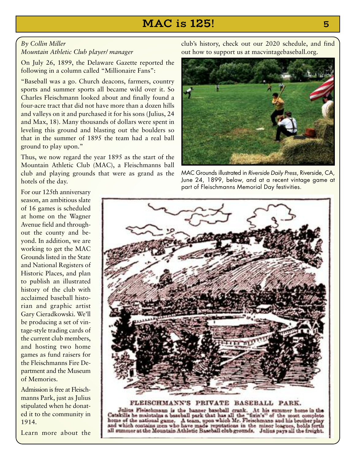## **MAC is 125! 5**

#### *By Collin Miller Mountain Athletic Club player/ manager*

**On July 26, 1899, the Delaware Gazette reported the following in a column called "Millionaire Fans":**

**"Baseball was a go. Church deacons, farmers, country sports and summer sports all became wild over it. So Charles Fleischmann looked about and finally found a four-acre tract that did not have more than a dozen hills and valleys on it and purchased it for his sons (Julius, 24 and Max, 18). Many thousands of dollars were spent in leveling this ground and blasting out the boulders so that in the summer of 1895 the team had a real ball ground to play upon."**

**Thus, we now regard the year 1895 as the start of the Mountain Athletic Club (MAC), a Fleischmanns ball club and playing grounds that were as grand as the hotels of the day.**

**club's history, check out our 2020 schedule, and find out how to support us at macvintagebaseball.org.**



MAC Grounds illustrated in *Riverside Daily Press*, Riverside, CA, June 24, 1899, below, and at a recent vintage game at part of Fleischmanns Memorial Day festivities.

**For our 125th anniversary season, an ambitious slate of 16 games is scheduled at home on the Wagner Avenue field and throughout the county and beyond. In addition, we are working to get the MAC Grounds listed in the State and National Registers of Historic Places, and plan to publish an illustrated history of the club with acclaimed baseball historian and graphic artist Gary Cieradkowski. We'll be producing a set of vintage-style trading cards of the current club members, and hosting two home games as fund raisers for the Fleischmanns Fire Department and the Museum of Memories.**

**Admission isfree at Fleischmanns Park, just as Julius stipulated when he donated it to the community in 1914.**



FLEISCHMANN'S PRIVATE BASEBALL PARK. Julius Fleischmann is the banner baseball crank. At his summer home in the Catakilla he maintains a baseball park that has all the "fixin's" of the most complete home of the national game. A team, upon which Mr. Fleischmann and his brother play and which contains men who have made reputations in the minor leagues, holds forth all summer at the Mountain Athletic Baseball club grounds. Julius pays all the freight.

**Learn more about the**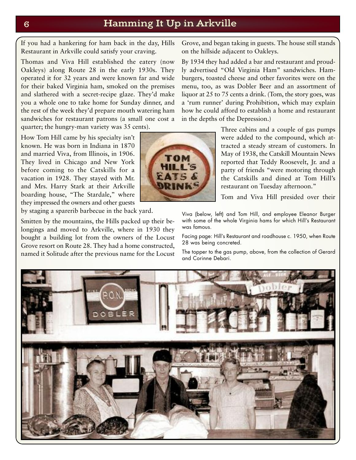### **6 Hamming It Up in Arkville**

**If you had a hankering for ham back in the day, Hills Restaurant in Arkville could satisfy your craving.**

**Thomas and Viva Hill established the eatery (now Oakleys) along Route 28 in the early 1930s. They operated it for 32 years and were known far and wide for their baked Virginia ham, smoked on the premises and slathered with a secret-recipe glaze. They'd make you a whole one to take home for Sunday dinner, and the rest of the week they'd prepare mouth watering ham sandwiches for restaurant patrons (a small one cost a quarter; the hungry-man variety was 35 cents).**

**Smitten by the mountains, the Hills packed up their belongings and moved to Arkville, where in 1930 they bought a building lot from the owners of the Locust Grove resort on Route 28. They had a home constructed, named it Solitude after the previous name for the Locust**

**How Tom Hill came by his specialty isn't known. He was born in Indiana in 1870 and married Viva, from Illinois, in 1906. They lived in Chicago and New York before coming to the Catskills for a vacation in 1928. They stayed with Mr. and Mrs. Harry Stark at their Arkville boarding house, "The Stardale," where they impressed the owners and other guests by staging a sparerib barbecue in the back yard.**

**Grove, and began taking in guests. The house still stands on the hillside adjacent to Oakleys.**

**By 1934 they had added a bar and restaurant and proudly advertised "Old Virginia Ham" sandwiches. Hamburgers, toasted cheese and other favorites were on the menu, too, as was Dobler Beer and an assortment of liquor at 25 to 75 cents a drink. (Tom, the story goes, was a 'rum runner' during Prohibition, which may explain how he could afford to establish a home and restaurant in the depths of the Depression.)**

> **Three cabins and a couple of gas pumps were added to the compound, which attracted a steady stream of customers. In May of 1938, the Catskill Mountain News reported that Teddy Roosevelt, Jr. and a party of friends "were motoring through the Catskills and dined at Tom Hill's restaurant on Tuesday afternoon."**

> **Tom and Viva Hill presided over their**

Viva (below, left) and Tom Hill, and employee Eleanor Burger with some of the whole Virginia hams for which Hill's Restaurant was famous.

Facing page: Hill's Restaurant and roadhouse c. 1950, when Route 28 was being concreted.

The topper to the gas pump, above, from the collection of Gerard and Corinne Debari.



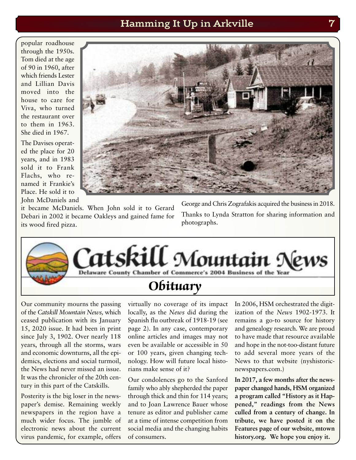### **Hamming It Up in Arkville 7**

**popular roadhouse through the 1950s. Tom died at the age of 90 in 1960, after which friends Lester and Lillian Davis moved into the house to care for Viva, who turned the restaurant over to them in 1963. She died in 1967.**

**The Davises operated the place for 20 years, and in 1983 sold it to Frank Flachs, who renamed it Frankie's Place. He sold it to John McDaniels and**



**it became McDaniels. When John sold it to Gerard Debari in 2002 it became Oakleys and gained fame for its wood fired pizza.**

**George and Chris Zografakis acquired the businessin 2018. Thanks to Lynda Stratton for sharing information and photographs.**



**Our community mourns the passing of the** *Catskill Mountain News,* **which ceased publication with its January 15, 2020 issue. It had been in print since July 3, 1902. Over nearly 118 years, through all the storms, wars and economic downturns, all the epidemics, elections and social turmoil, the News had never missed an issue. It was the chronicler of the 20th century in this part of the Catskills.**

**Posterity is the big loser in the newspaper's demise. Remaining weekly newspapers in the region have a much wider focus. The jumble of electronic news about the current virus pandemic, for example, offers** **virtually no coverage of its impact locally, as the** *News* **did during the Spanish flu outbreak of 1918-19 (see page 2). In any case, contemporary online articles and images may not even be available or accessible in 50 or 100 years, given changing technology. How will future local historians make sense of it?**

**Our condolences go to the Sanford family who ably shepherded the paper through thick and thin for 114 years; and to Joan Lawrence Bauer whose tenure as editor and publisher came at a time of intense competition from social media and the changing habits of consumers.**

**In 2006, HSM orchestrated the digitization of the** *News* **1902-1973. It remains a go-to source for history and genealogy research. We are proud to have made that resource available and hope in the not-too-distant future to add several more years of the News to that website (nyshistoricnewspapers.com.)**

**In 2017, a few months after the newspaper changed hands, HSM organized a program called "History as it Happened," readings from the News culled from a century of change. In tribute, we have posted it on the Features page of our website, mtown history.org. We hope you enjoy it.**